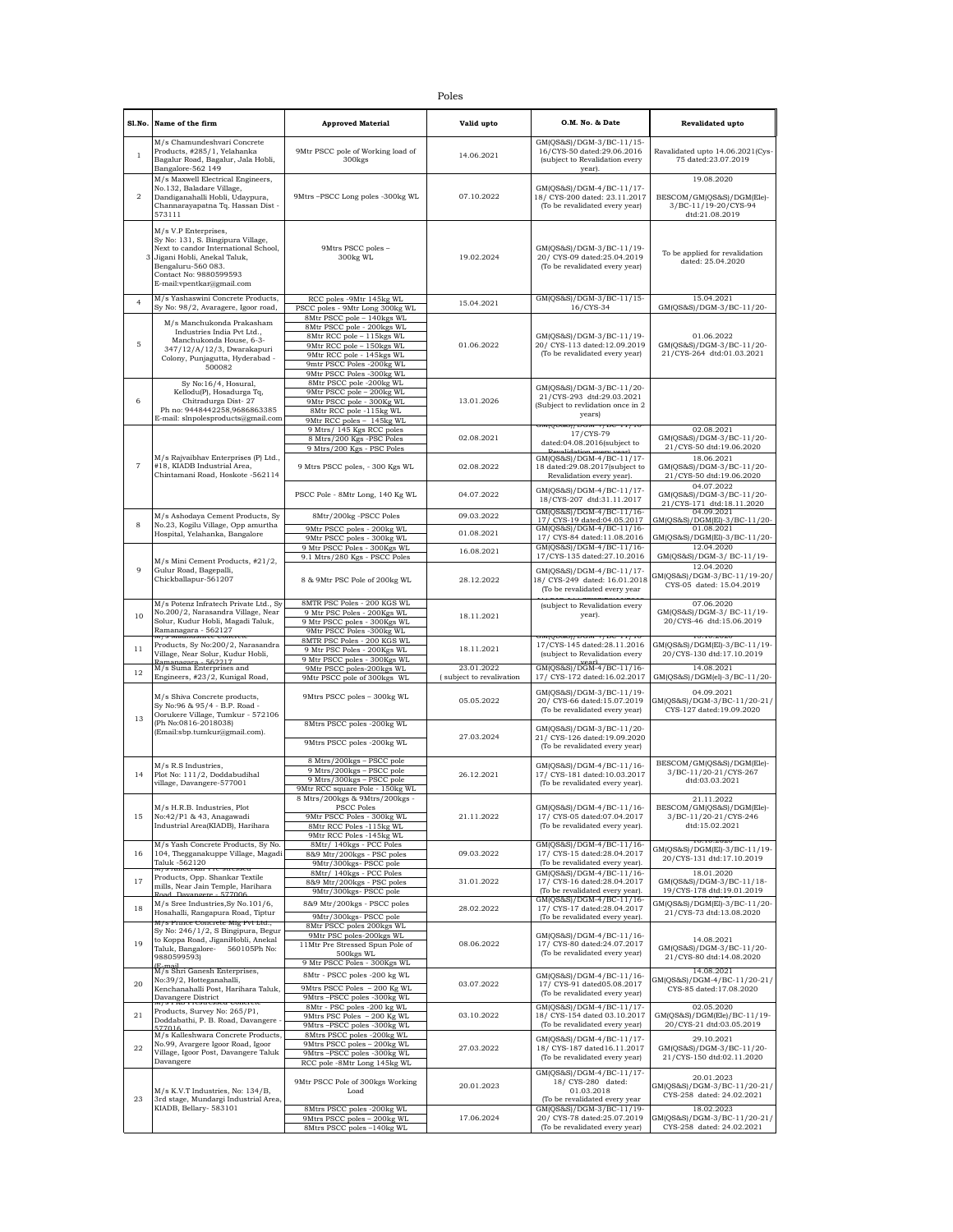| I<br>٦<br>×<br>۰.<br>×<br>. . |
|-------------------------------|
|-------------------------------|

| Sl.No.         | Name of the firm                                                                                                                                                                                              | <b>Approved Material</b>                                                                                                                                                                                  | Valid upto                             | O.M. No. & Date                                                                                                | Revalidated upto                                                                   |
|----------------|---------------------------------------------------------------------------------------------------------------------------------------------------------------------------------------------------------------|-----------------------------------------------------------------------------------------------------------------------------------------------------------------------------------------------------------|----------------------------------------|----------------------------------------------------------------------------------------------------------------|------------------------------------------------------------------------------------|
| $1\,$          | M/s Chamundeshvari Concrete<br>Products, #285/1, Yelahanka<br>Bagalur Road, Bagalur, Jala Hobli,<br>Bangalore-562 149                                                                                         | 9Mtr PSCC pole of Working load of<br>300 <sub>kgs</sub>                                                                                                                                                   | 14.06.2021                             | GM(QS&S)/DGM-3/BC-11/15-<br>16/CYS-50 dated:29.06.2016<br>(subject to Revalidation every<br>year).             | Ravalidated upto 14.06.2021(Cys-<br>75 dated:23.07.2019                            |
| 2              | M/s Maxwell Electrical Engineers,<br>No.132, Baladare Village,<br>Dandiganahalli Hobli, Udaypura,<br>Channarayapatna Tq. Hassan Dist -<br>573111                                                              | 9Mtrs -PSCC Long poles -300kg WL                                                                                                                                                                          | 07.10.2022                             | GM(QS&S)/DGM-4/BC-11/17-<br>18/ CYS-200 dated: 23.11.2017<br>(To be revalidated every year)                    | 19.08.2020<br>BESCOM/GM(QS&S)/DGM(Ele)-<br>3/BC-11/19-20/CYS-94<br>dtd:21.08.2019  |
| 3              | M/s V.P Enterprises,<br>Sy No: 131, S. Bingipura Village,<br>Next to candor International School,<br>Jigani Hobli, Anekal Taluk,<br>Bengaluru-560 083.<br>Contact No: 9880599593<br>E-mail:vpentkar@gmail.com | 9Mtrs PSCC poles -<br>$300kg$ WL                                                                                                                                                                          | 19.02.2024                             | GM(QS&S)/DGM-3/BC-11/19-<br>20/ CYS-09 dated:25.04.2019<br>(To be revalidated every year)                      | To be applied for revalidation<br>dated: 25.04.2020                                |
| $\overline{4}$ | M/s Yashaswini Concrete Products,<br>Sy No: 98/2, Avaragere, Igoor road,                                                                                                                                      | RCC poles -9Mtr 145kg WI<br>PSCC poles - 9Mtr Long 300kg WL                                                                                                                                               | 15.04.2021                             | GM(QS&S)/DGM-3/BC-11/15-<br>16/CYS-34                                                                          | 15.04.2021<br>GM(QS&S)/DGM-3/BC-11/20-                                             |
| $\mathbf 5$    | M/s Manchukonda Prakasham<br>Industries India Pvt Ltd.,<br>Manchukonda House, 6-3-<br>347/12/A/12/3, Dwarakapuri<br>Colony, Punjagutta, Hyderabad -<br>500082                                                 | 8Mtr PSCC pole - 140kgs WL<br>8Mtr PSCC pole - 200kgs WL<br>8Mtr RCC pole - 115kgs WL<br>9Mtr RCC pole - 150kgs WL<br>9Mtr RCC pole - 145kgs WL<br>9mtr PSCC Poles -200kg WL<br>9Mtr PSCC Poles -300kg WL | 01.06.2022                             | GM(QS&S)/DGM-3/BC-11/19-<br>20/ CYS-113 dated:12.09.2019<br>(To be revalidated every year)                     | 01.06.2022<br>GM(QS&S)/DGM-3/BC-11/20-<br>21/CYS-264 dtd:01.03.2021                |
| 6              | Sy No:16/4, Hosural,<br>Kellodu(P), Hosadurga Tq,<br>Chitradurga Dist-27<br>Ph no: 9448442258,9686863385<br>E-mail: slnpolesproducts@gmail.com                                                                | 8Mtr PSCC pole -200kg WL<br>9Mtr PSCC pole - 200kg WL<br>9Mtr PSCC pole - 300Kg WL<br>8Mtr RCC pole -115kg WL<br>9Mtr RCC poles - 145kg WL                                                                | 13.01.2026                             | GM(QS&S)/DGM-3/BC-11/20-<br>21/CYS-293 dtd:29.03.2021<br>(Subject to revlidation once in 2<br>years)           |                                                                                    |
|                |                                                                                                                                                                                                               | 9 Mtrs/ 145 Kgs RCC poles<br>8 Mtrs/200 Kgs -PSC Poles<br>9 Mtrs/200 Kgs - PSC Poles                                                                                                                      | 02.08.2021                             | umlóoreal incin<br><b>T/DC-11/10</b><br>17/CYS-79<br>dated:04.08.2016(subject to<br><b>Pevalidation</b> events | 02.08.2021<br>GM(QS&S)/DGM-3/BC-11/20-<br>21/CYS-50 dtd:19.06.2020                 |
| $\overline{7}$ | M/s Rajvaibhav Enterprises (P) Ltd.,<br>#18. KIADB Industrial Area.<br>Chintamani Road, Hoskote -562114                                                                                                       | 9 Mtrs PSCC poles, - 300 Kgs WL                                                                                                                                                                           | 02.08.2022                             | GM(QS&S)/DGM-4/BC-11/17-<br>18 dated:29.08.2017(subject to<br>Revalidation every year).                        | 18.06.2021<br>GM(QS&S)/DGM-3/BC-11/20-<br>21/CYS-50 dtd:19.06.2020                 |
|                |                                                                                                                                                                                                               | PSCC Pole - 8Mtr Long, 140 Kg WL                                                                                                                                                                          | 04.07.2022                             | GM(QS&S)/DGM-4/BC-11/17-<br>18/CYS-207 dtd:31.11.2017                                                          | 04.07.2022<br>GM(QS&S)/DGM-3/BC-11/20-<br>21/CYS-171 dtd:18.11.2020                |
| 8              | M/s Ashodaya Cement Products, Sy                                                                                                                                                                              | 8Mtr/200kg -PSCC Poles                                                                                                                                                                                    | 09.03.2022                             | GM(QS&S)/DGM-4/BC-11/16-<br>17/ CYS-19 dated:04.05.2017                                                        | 04.09.2021<br>GM(QS&S)/DGM(El)-3/BC-11/20-                                         |
|                | No.23, Kogilu Village, Opp amurtha<br>Hospital, Yelahanka, Bangalore                                                                                                                                          | 9Mtr PSCC poles - 200kg WL<br>9Mtr PSCC poles - 300kg WL                                                                                                                                                  | 01.08.2021                             | GM(QS&S)/DGM-4/BC-11/16-<br>17/ CYS-84 dated:11.08.2016                                                        | 01.08.2021<br>GM(QS&S)/DGM(El)-3/BC-11/20-                                         |
|                |                                                                                                                                                                                                               | 9 Mtr PSCC Poles - 300Kgs WL<br>9.1 Mtrs/280 Kgs - PSCC Poles                                                                                                                                             | 16.08.2021                             | GM(QS&S)/DGM-4/BC-11/16-<br>17/CYS-135 dated:27.10.2016                                                        | 12.04.2020<br>GM(QS&S)/DGM-3/ BC-11/19-                                            |
| 9              | M/s Mini Cement Products, #21/2,<br>Gulur Road, Bagepalli,<br>Chickballapur-561207                                                                                                                            | 8 & 9Mtr PSC Pole of 200kg WL                                                                                                                                                                             | 28.12.2022                             | GM(QS&S)/DGM-4/BC-11/17-<br>18/ CYS-249 dated: 16.01.2018<br>(To be revalidated every year                     | 12.04.2020<br>GM(QS&S)/DGM-3/BC-11/19-20/<br>CYS-05 dated: 15.04.2019              |
| 10             | M/s Potenz Infratech Private Ltd., Sy<br>No.200/2, Narasandra Village, Near<br>Solur, Kudur Hobli, Magadi Taluk,<br>Ramanagara - 562127<br>m/s maunusmee conci                                                | 8MTR PSC Poles - 200 KGS WL<br>9 Mtr PSC Poles - 200Kgs WL<br>9 Mtr PSCC poles - 300Kgs WL<br>9Mtr PSCC Poles -300kg WL                                                                                   | 18.11.2021                             | (subject to Revalidation every<br>year).<br><b>CINILY 30631/ D'CINE **/ DC *11/10</b>                          | 07.06.2020<br>GM(QS&S)/DGM-3/ BC-11/19-<br>20/CYS-46 dtd:15.06.2019<br>0.10.2020   |
| 11             | Products, Sy No:200/2, Narasandra<br>Village, Near Solur, Kudur Hobli,<br>Ramanagara - 562217                                                                                                                 | 8MTR PSC Poles - 200 KGS WL<br>9 Mtr PSC Poles - 200Kgs WL<br>9 Mtr PSCC poles - 300Kgs WL                                                                                                                | 18.11.2021                             | 17/CYS-145 dated:28.11.2016<br>(subject to Revalidation every                                                  | GM(QS&S)/DGM(El)-3/BC-11/19-<br>20/CYS-130 dtd:17.10.2019                          |
| 12             | M/s Suma Enterprises and<br>Engineers, #23/2, Kunigal Road,                                                                                                                                                   | 9Mtr PSCC poles-200kgs WL<br>9Mtr PSCC pole of 300kgs WL                                                                                                                                                  | 23.01.2022<br>(subject to revalivation | $\frac{year1}{GM(QS&S)/DGM-4/BC-11/16-}$<br>17/ CYS-172 dated:16.02.2017                                       | 14.08.2021<br>GM(QS&S)/DGM(el)-3/BC-11/20-                                         |
|                | M/s Shiva Concrete products,<br>Sy No:96 & 95/4 - B.P. Road -<br>Oorukere Village, Tumkur - 572106                                                                                                            | 9Mtrs PSCC poles - 300kg WL                                                                                                                                                                               | 05.05.2022                             | GM(QS&S)/DGM-3/BC-11/19-<br>20/ CYS-66 dated:15.07.2019<br>(To be revalidated every year)                      | 04.09.2021<br>GM(QS&S)/DGM-3/BC-11/20-21/<br>CYS-127 dated:19.09.2020              |
| 13             | (Ph No:0816-2018038)<br>(Email:sbp.tumkur@gmail.com).                                                                                                                                                         | 8Mtrs PSCC poles -200kg WL<br>9Mtrs PSCC poles -200kg WL                                                                                                                                                  | 27.03.2024                             | GM(QS&S)/DGM-3/BC-11/20-<br>21/ CYS-126 dated:19.09.2020<br>(To be revalidated every year)                     |                                                                                    |
| 14             | M/s R.S Industries,<br>Plot No: 111/2, Doddabudihal<br>village, Davangere-577001                                                                                                                              | 8 Mtrs/200kgs - PSCC pole<br>9 Mtrs/200kgs - PSCC pole<br>9 Mtrs/300kgs - PSCC pole<br>9Mtr RCC square Pole - 150kg WL                                                                                    | 26.12.2021                             | GM(QS&S)/DGM-4/BC-11/16-<br>17/ CYS-181 dated:10.03.2017<br>(To be revalidated every year).                    | BESCOM/GM(QS&S)/DGM(Ele)-<br>3/BC-11/20-21/CYS-267<br>dtd:03.03.2021               |
| 15             | M/s H.R.B. Industries, Plot<br>No:42/P1 & 43, Anagawadi<br>Industrial Area(KIADB), Harihara                                                                                                                   | 8 Mtrs/200kgs & 9Mtrs/200kgs -<br>PSCC Poles<br>9Mtr PSCC Poles - 300kg WL<br>8Mtr RCC Poles -115kg WL<br>9Mtr RCC Poles -145kg WL                                                                        | 21.11.2022                             | GM(QS&S)/DGM-4/BC-11/16-<br>17/ CYS-05 dated:07.04.2017<br>(To be revalidated every year).                     | 21.11.2022<br>BESCOM/GM(QS&S)/DGM(Ele)-<br>3/BC-11/20-21/CYS-246<br>dtd:15.02.2021 |
| 16             | M/s Yash Concrete Products, Sy No.<br>104, Thegganakuppe Village, Magadi<br>Taluk -562120                                                                                                                     | 8Mtr/ 140kgs - PCC Poles<br>8&9 Mtr/200kgs - PSC poles<br>9Mtr/300kgs- PSCC pole                                                                                                                          | 09.03.2022                             | GM(QS&S)/DGM-4/BC-11/16-<br>17/ CYS-15 dated:28.04.2017<br>(To be revalidated every year).                     | 10.10.2020<br>GM(QS&S)/DGM(El)-3/BC-11/19-<br>20/CYS-131 dtd:17.10.2019            |
| 17             | m/s Annoerkar Pre-stressed<br>Products, Opp. Shankar Textile<br>mills, Near Jain Temple, Harihara                                                                                                             | 8Mtr/ 140kgs - PCC Poles<br>8&9 Mtr/200kgs - PSC poles<br>9Mtr/300kgs- PSCC pole                                                                                                                          | 31.01.2022                             | GM(QS&S)/DGM-4/BC-11/16-<br>17/ CYS-16 dated:28.04.2017<br>(To be revalidated every year).                     | 18.01.2020<br>GM(QS&S)/DGM-3/BC-11/18-<br>19/CYS-178 dtd:19.01.2019                |
| 18             | Road Davangere - 577006<br>M/s Sree Industries, Sy No. 101/6,<br>Hosahalli, Rangapura Road, Tiptur                                                                                                            | 8&9 Mtr/200kgs - PSCC poles<br>9Mtr/300kgs- PSCC pole                                                                                                                                                     | 28.02.2022                             | GM(QS&S)/DGM-4/BC-11/16-<br>17/ CYS-17 dated:28.04.2017<br>(To be revalidated every year).                     | GM(QS&S)/DGM(El)-3/BC-11/20-<br>21/CYS-73 dtd:13.08.2020                           |
| 19             | M/s Prince Concrete Mig PVt Ltd.,<br>Sy No: 246/1/2, S Bingipura, Begur<br>to Koppa Road, JiganiHobli, Anekal<br>Taluk, Bangalore- 560105Ph No:<br>9880599593)                                                | 8Mtr PSCC poles 200kgs WL<br>9Mtr PSC poles-200kgs WL<br>11Mtr Pre Stressed Spun Pole of<br>500kgs WL<br>9 Mtr PSCC Poles - 300Kgs WL                                                                     | 08.06.2022                             | GM(QS&S)/DGM-4/BC-11/16-<br>17/ CYS-80 dated:24.07.2017<br>(To be revalidated every year)                      | 14.08.2021<br>GM(QS&S)/DGM-3/BC-11/20-<br>21/CYS-80 dtd:14.08.2020                 |
| 20             | (E-mail<br>M/s Shri Ganesh Enterprises,<br>No:39/2, Hotteganahalli,<br>Kenchanahalli Post, Harihara Taluk,                                                                                                    | 8Mtr - PSCC poles -200 kg WL<br>9Mtrs PSCC Poles - 200 Kg WL<br>9Mtrs-PSCC poles -300kg WL                                                                                                                | 03.07.2022                             | GM(QS&S)/DGM-4/BC-11/16-<br>17/ CYS-91 dated05.08.2017<br>(To be revalidated every year)                       | 14.08.2021<br>GM(QS&S)/DGM-4/BC-11/20-21/<br>CYS-85 dated:17.08.2020               |
| 21             | Davangere District<br>m/s r Ko riesuesseu conciete<br>Products, Survey No: 265/P1,<br>Doddabathi, P. B. Road, Davangere<br>577016                                                                             | 8Mtr - PSC poles -200 kg WL<br>9Mtrs PSC Poles - 200 Kg WL<br>9Mtrs-PSCC poles -300kg WL                                                                                                                  | 03.10.2022                             | GM(QS&S)/DGM-4/BC-11/17-<br>18/ CYS-154 dated 03.10.2017<br>(To be revalidated every year)                     | 02.05.2020<br>GM(QS&S)/DGM(Ele)/BC-11/19-<br>20/CYS-21 dtd:03.05.2019              |
| 22             | M/s Kalleshwara Concrete Products,<br>No.99, Avargere Igoor Road, Igoor<br>Village, Igoor Post, Davangere Taluk<br>Davangere                                                                                  | 8Mtrs PSCC poles -200kg WL<br>9Mtrs PSCC poles - 200kg WL<br>9Mtrs-PSCC poles -300kg WL<br>RCC pole -8Mtr Long 145kg WL                                                                                   | 27.03.2022                             | GM(QS&S)/DGM-4/BC-11/17-<br>18/ CYS-187 dated16.11.2017<br>(To be revalidated every year)                      | 29.10.2021<br>GM(QS&S)/DGM-3/BC-11/20-<br>21/CYS-150 dtd:02.11.2020                |
| 23             | M/s K.V.T Industries, No: 134/B,<br>3rd stage, Mundargi Industrial Area,                                                                                                                                      | 9Mtr PSCC Pole of 300kgs Working<br>Load                                                                                                                                                                  | 20.01.2023                             | GM(QS&S)/DGM-4/BC-11/17-<br>18/ CYS-280 dated:<br>01.03.2018<br>(To be revalidated every year                  | 20.01.2023<br>GM(QS&S)/DGM-3/BC-11/20-21/<br>CYS-258 dated: 24.02.2021             |
|                | KIADB, Bellary- 583101                                                                                                                                                                                        | 8Mtrs PSCC poles -200kg WL<br>9Mtrs PSCC poles - 200kg WL<br>8Mtrs PSCC poles -140kg WL                                                                                                                   | 17.06.2024                             | GM(QS&S)/DGM-3/BC-11/19-<br>20/ CYS-78 dated:25.07.2019<br>(To be revalidated every year)                      | 18.02.2023<br>GM(QS&S)/DGM-3/BC-11/20-21/<br>CYS-258 dated: 24.02.2021             |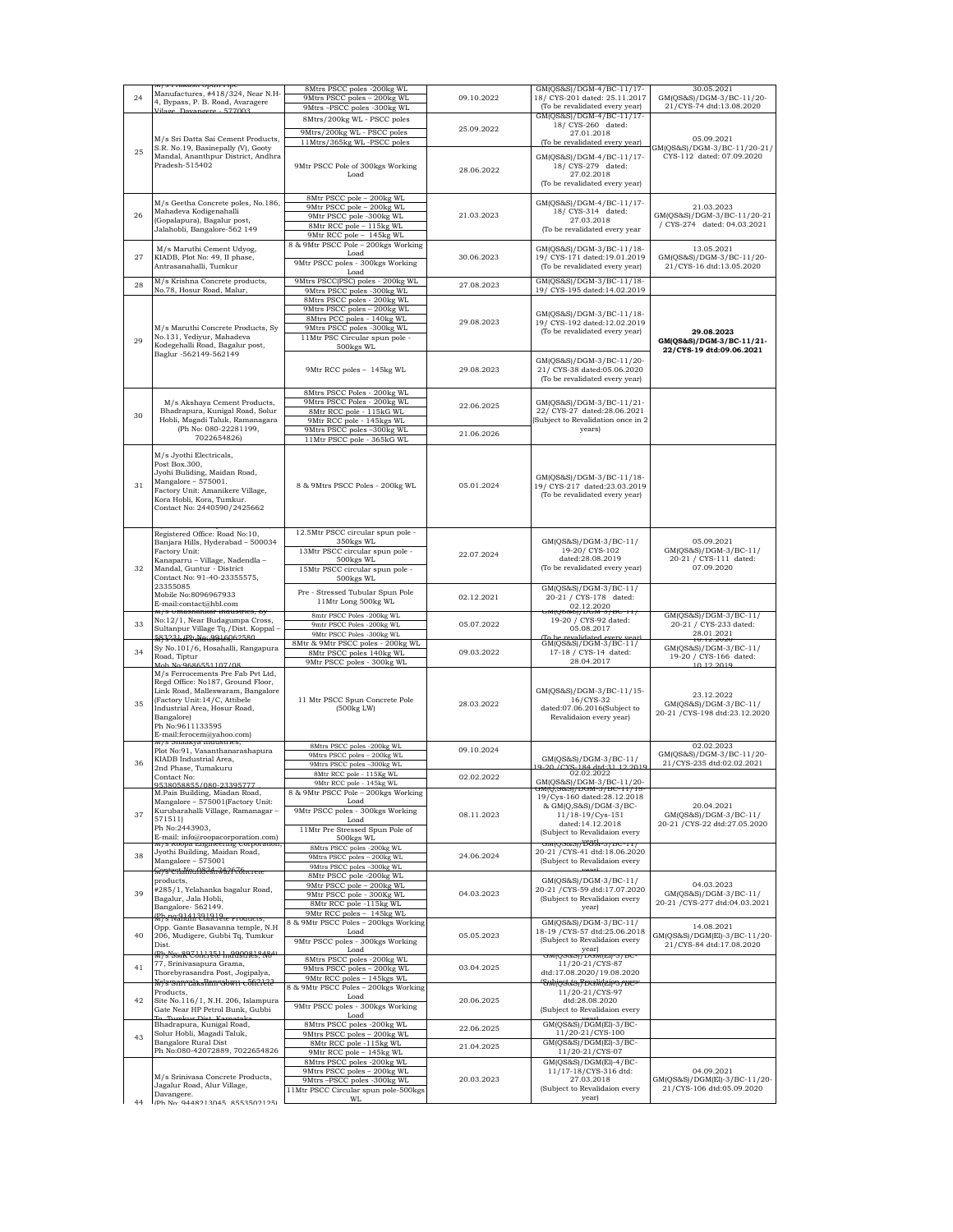| 24 | w/s riakasii spuii ripe<br>Manufactures, #418/324, Near N.H-<br>4, Bypass, P. B. Road, Avaragere<br>Vilage Davangere 577003                                                                       | 8Mtrs PSCC poles -200kg WL<br>9Mtrs PSCC poles - 200kg WL<br>9Mtrs-PSCC poles -300kg WL<br>8Mtrs/200kg WL - PSCC poles | 09.10.2022 | GM(QS&S)/DGM-4/BC-11/17-<br>18/ CYS-201 dated: 25.11.2017<br>(To be revalidated every year)<br>GM(QS&S)/DGM-4/BC-11/17-<br>18/ CYS-260 dated: | 30.05.2021<br>GM(QS&S)/DGM-3/BC-11/20-<br>21/CYS-74 dtd:13.08.2020          |
|----|---------------------------------------------------------------------------------------------------------------------------------------------------------------------------------------------------|------------------------------------------------------------------------------------------------------------------------|------------|-----------------------------------------------------------------------------------------------------------------------------------------------|-----------------------------------------------------------------------------|
| 25 | M/s Sri Datta Sai Cement Products,<br>S.R. No.19, Basinepally (V), Gooty                                                                                                                          | 9Mtrs/200kg WL - PSCC poles<br>11Mtrs/365kg WL-PSCC poles                                                              | 25.09.2022 | 27.01.2018<br>(To be revalidated every year)                                                                                                  | 05.09.2021<br>GM(QS&S)/DGM-3/BC-11/20-21/                                   |
|    | Mandal, Ananthpur District, Andhra<br>Pradesh-515402                                                                                                                                              | 9Mtr PSCC Pole of 300kgs Working<br>Load                                                                               | 28.06.2022 | GM(QS&S)/DGM-4/BC-11/17-<br>18/ CYS-279 dated:<br>27.02.2018<br>(To be revalidated every year)                                                | CYS-112 dated: 07.09.2020                                                   |
|    | M/s Geetha Concrete poles, No.186,                                                                                                                                                                | 8Mtr PSCC pole - 200kg WL<br>9Mtr PSCC pole - 200kg WL                                                                 |            | GM(QS&S)/DGM-4/BC-11/17-                                                                                                                      | 21.03.2023                                                                  |
| 26 | Mahadeva Kodigenahalli<br>(Gopalapura), Bagalur post,                                                                                                                                             | 9Mtr PSCC pole -300kg WL                                                                                               | 21.03.2023 | 18/ CYS-314 dated:<br>27.03.2018                                                                                                              | GM(QS&S)/DGM-3/BC-11/20-21                                                  |
|    | Jalahobli, Bangalore-562 149                                                                                                                                                                      | 8Mtr RCC pole - 115kg WL<br>9Mtr RCC pole - 145kg WL                                                                   |            | (To be revalidated every year                                                                                                                 | / CYS-274 dated: 04.03.2021                                                 |
|    | M/s Maruthi Cement Udyog,                                                                                                                                                                         | 8 & 9Mtr PSCC Pole - 200kgs Working                                                                                    |            | GM(QS&S)/DGM-3/BC-11/18-                                                                                                                      | 13.05.2021                                                                  |
| 27 | KIADB, Plot No: 49, II phase,<br>Antrasanahalli, Tumkur                                                                                                                                           | Load<br>9Mtr PSCC poles - 300kgs Working<br>Load                                                                       | 30.06.2023 | 19/ CYS-171 dated:19.01.2019<br>(To be revalidated every year)                                                                                | GM(QS&S)/DGM-3/BC-11/20-<br>21/CYS-16 dtd:13.05.2020                        |
| 28 | M/s Krishna Concrete products,<br>No.78, Hosur Road, Malur,                                                                                                                                       | 9Mtrs PSCC(PSC) poles - 200kg WL<br>9Mtrs PSCC poles -300kg WL                                                         | 27.08.2023 | GM(QS&S)/DGM-3/BC-11/18-<br>19/ CYS-195 dated:14.02.2019                                                                                      |                                                                             |
|    |                                                                                                                                                                                                   | 8Mtrs PSCC poles - 200kg WL                                                                                            |            |                                                                                                                                               |                                                                             |
|    |                                                                                                                                                                                                   | 9Mtrs PSCC poles - 200kg WL<br>8Mtrs PCC poles - 140kg WL                                                              |            | GM(QS&S)/DGM-3/BC-11/18-                                                                                                                      |                                                                             |
|    | M/s Maruthi Concrete Products, Sy                                                                                                                                                                 | 9Mtrs PSCC poles -300kg WL                                                                                             | 29.08.2023 | 19/ CYS-192 dated:12.02.2019                                                                                                                  |                                                                             |
| 29 | No.131, Yediyur, Mahadeva                                                                                                                                                                         | 11Mtr PSC Circular spun pole -                                                                                         |            | (To be revalidated every year)                                                                                                                | 29.08.2023<br>GM(QS&S)/DGM-3/BC-11/21-                                      |
|    | Kodegehalli Road, Bagalur post,<br>Baglur -562149-562149                                                                                                                                          | 500kgs WL                                                                                                              |            |                                                                                                                                               | 22/CYS-19 dtd:09.06.2021                                                    |
|    |                                                                                                                                                                                                   | 9Mtr RCC poles - 145kg WL                                                                                              | 29.08.2023 | GM(QS&S)/DGM-3/BC-11/20-<br>21/ CYS-38 dated:05.06.2020                                                                                       |                                                                             |
|    |                                                                                                                                                                                                   |                                                                                                                        |            | (To be revalidated every year)                                                                                                                |                                                                             |
|    |                                                                                                                                                                                                   | 8Mtrs PSCC Poles - 200kg WL                                                                                            |            |                                                                                                                                               |                                                                             |
|    | M/s Akshaya Cement Products,<br>Bhadrapura, Kunigal Road, Solur                                                                                                                                   | 9Mtrs PSCC Poles - 200kg WL<br>8Mtr RCC pole - 115kG WL                                                                | 22.06.2025 | GM(QS&S)/DGM-3/BC-11/21-<br>22/ CYS-27 dated:28.06.2021                                                                                       |                                                                             |
| 30 | Hobli, Magadi Taluk, Ramanagara                                                                                                                                                                   | 9Mtr RCC pole - 145kgs WL                                                                                              |            | Subject to Revalidation once in 2                                                                                                             |                                                                             |
|    | (Ph No: 080-22281199,<br>7022654826)                                                                                                                                                              | 9Mtrs PSCC poles -300kg WL                                                                                             | 21.06.2026 | years)                                                                                                                                        |                                                                             |
|    |                                                                                                                                                                                                   | 11Mtr PSCC pole - 365kG WL                                                                                             |            |                                                                                                                                               |                                                                             |
| 31 | M/s Jyothi Electricals,<br>Post Box.300,<br>Jyohi Buliding, Maidan Road,<br>$Mangalore - 575001.$<br>Factory Unit: Amanikere Village,<br>Kora Hobli, Kora, Tumkur.<br>Contact No: 2440590/2425662 | 8 & 9Mtrs PSCC Poles - 200kg WL                                                                                        | 05.01.2024 | GM(QS&S)/DGM-3/BC-11/18-<br>19/ CYS-217 dated:23.03.2019<br>(To be revalidated every year)                                                    |                                                                             |
|    | Registered Office: Road No:10,<br>Banjara Hills, Hyderabad - 500034<br>Factory Unit:                                                                                                              | 12.5Mtr PSCC circular spun pole -<br>350kgs WL<br>13Mtr PSCC circular spun pole -                                      | 22.07.2024 | GM(QS&S)/DGM-3/BC-11/<br>19-20/ CYS-102                                                                                                       | 05.09.2021<br>GM(QS&S)/DGM-3/BC-11/                                         |
| 32 | Kanaparru - Village, Nadendla -                                                                                                                                                                   | 500kgs WL                                                                                                              |            | dated:28.08.2019<br>(To be revalidated every year)                                                                                            | 20-21 / CYS-111 dated:<br>07.09.2020                                        |
|    | Mandal, Guntur - District<br>Contact No: 91-40-23355575,                                                                                                                                          | 15Mtr PSCC circular spun pole -<br>500kgs WL                                                                           |            |                                                                                                                                               |                                                                             |
|    | 23355085<br>Mobile No:8096967933                                                                                                                                                                  | Pre - Stressed Tubular Spun Pole                                                                                       |            | GM(QS&S)/DGM-3/BC-11/                                                                                                                         |                                                                             |
|    | E-mail:contact@hbl.com<br>w/s omasnamar muusu ics, c                                                                                                                                              | 11Mtr Long 500kg WL                                                                                                    | 02.12.2021 | 20-21 / CYS-178 dated:<br>$\frac{02.12.2020}{(2.12.2020)}$                                                                                    |                                                                             |
| 33 | No:12/1, Near Budagumpa Cross,<br>Sultanpur Village Tq./Dist. Koppal-<br>58323.LBb Nau9916962580                                                                                                  | 8mtr PSCC Poles -200kg WL<br>9mtr PSCC Poles -200kg WL<br>9Mtr PSCC Poles -300kg WL                                    | 05.07.2022 | 19-20 / CYS-92 dated:<br>05.08.2017<br>revalidated ever                                                                                       | GM(QS&S)/DGM-3/BC-11/<br>20-21 / CYS-233 dated:<br>28.01.2021<br>10.12.2020 |
| 34 | Sy No.101/6, Hosahalli, Rangapura<br>Road, Tiptur                                                                                                                                                 | 8Mtr & 9Mtr PSCC poles - 200kg WL<br>8Mtr PSCC poles 140kg WL                                                          | 09.03.2022 | GM(QS&S)/DGM-3/BC-11/<br>17-18 / CYS-14 dated:                                                                                                | GM(QS&S)/DGM-3/BC-11/<br>19-20 / CYS-166 dated:                             |
|    | Mob No:9686551107/08                                                                                                                                                                              | 9Mtr PSCC poles - 300kg WL                                                                                             |            | 28.04.2017                                                                                                                                    | 10 12 2019                                                                  |
|    | M/s Ferrocements Pre Fab Pvt Ltd,<br>Regd Office: No187, Ground Floor,                                                                                                                            |                                                                                                                        |            |                                                                                                                                               |                                                                             |
|    | Link Road, Malleswaram, Bangalore                                                                                                                                                                 |                                                                                                                        |            | GM(QS&S)/DGM-3/BC-11/15-                                                                                                                      |                                                                             |
| 35 | (Factory Unit:14/C, Attibele                                                                                                                                                                      | 11 Mtr PSCC Spun Concrete Pole                                                                                         | 28.03.2022 | 16/CYS-32                                                                                                                                     | 23.12.2022<br>GM(QS&S)/DGM-3/BC-11/                                         |
|    | Industrial Area, Hosur Road,<br>Bangalore)                                                                                                                                                        | (500kg LW)                                                                                                             |            | dated:07.06.2016(Subject to<br>Revalidaion every year)                                                                                        | 20-21 / CYS-198 dtd:23.12.2020                                              |
|    | Ph No:9611133595                                                                                                                                                                                  |                                                                                                                        |            |                                                                                                                                               |                                                                             |
|    | E-mail:ferocem@yahoo.com)<br>м/s эпаакуа muusures,                                                                                                                                                | 8Mtrs PSCC poles -200kg WL                                                                                             |            |                                                                                                                                               |                                                                             |
|    | Plot No:91, Vasanthanarashapura<br>KIADB Industrial Area,                                                                                                                                         |                                                                                                                        |            |                                                                                                                                               |                                                                             |
| 36 |                                                                                                                                                                                                   | 9Mtrs PSCC poles - 200kg WL                                                                                            | 09.10.2024 |                                                                                                                                               | 02.02.2023<br>GM(QS&S)/DGM-3/BC-11/20-                                      |
|    | 2nd Phase, Tumakuru                                                                                                                                                                               | 9Mtrs PSCC poles -300kg WL                                                                                             |            | GM(QS&S)/DGM-3/BC-11/                                                                                                                         | 21/CYS-235 dtd:02.02.2021                                                   |
|    | Contact No:                                                                                                                                                                                       | $8\,\rm{Mtr}$ RCC pole - $115\,\rm{kg}\,\rm{WL}$                                                                       | 02.02.2022 | 10.20 (CVS. 184 dtd: 31 12 2010                                                                                                               |                                                                             |
|    | 9538058855/080-23395777<br>M.Pais Building, Miadan Road,                                                                                                                                          | 9Mtr RCC pole - 145kg WL<br>8 & 9Mtr PSCC Pole - 200kgs Working                                                        |            | GM(QS&S)/DGM-3/BC-11/20-<br>GM(Q,505)/DGM-3/BC-11/16                                                                                          |                                                                             |
|    | Mangalore - 575001(Factory Unit:                                                                                                                                                                  | Load                                                                                                                   |            | 19/Cys-160 dated:28.12.2018<br>& GM(Q,S&S)/DGM-3/BC-                                                                                          | 20.04.2021                                                                  |
| 37 | Kurubarahalli Village, Ramanagar -<br>571511)                                                                                                                                                     | 9Mtr PSCC poles - 300kgs Working<br>Load                                                                               | 08.11.2023 | 11/18-19/Cys-151                                                                                                                              | GM(QS&S)/DGM-3/BC-11/                                                       |
|    | Ph No:2443903,                                                                                                                                                                                    | 11Mtr Pre Stressed Spun Pole of                                                                                        |            | dated:14.12.2018<br>(Subject to Revalidaion every                                                                                             | 20-21 / CYS-22 dtd:27.05.2020                                               |
|    | E-mail: info@roopacorporation.com)<br><del>wys roopa Engmeering Corporation</del>                                                                                                                 | 500kgs WL                                                                                                              |            | <del>amp@asay/1981\h=ay.pc=11</del> 7                                                                                                         |                                                                             |
| 38 | Jyothi Building, Maidan Road,                                                                                                                                                                     | 8Mtrs PSCC poles -200kg WL<br>9Mtrs PSCC poles - 200kg WL                                                              | 24.06.2024 | 20-21 / CYS-41 dtd:18.06.2020                                                                                                                 |                                                                             |
|    | Mangalore - 575001<br><del>Mysterialinu N82sh Wa?f&amp;hicrete</del>                                                                                                                              | 9Mtrs PSCC poles -300kg WL                                                                                             |            | (Subject to Revalidaion every                                                                                                                 |                                                                             |
|    | products.                                                                                                                                                                                         | 8Mtr PSCC pole -200kg WL                                                                                               |            | GM(QS&S)/DGM-3/BC-11/                                                                                                                         | 04.03.2023                                                                  |
| 39 | #285/1, Yelahanka bagalur Road,                                                                                                                                                                   | 9Mtr PSCC pole - 200kg WL<br>9Mtr PSCC pole - 300Kg WL                                                                 | 04.03.2023 | 20-21 / CYS-59 dtd:17.07.2020                                                                                                                 | GM(QS&S)/DGM-3/BC-11/                                                       |
|    | Bagalur, Jala Hobli,<br>Bangalore-562149.                                                                                                                                                         | 8Mtr RCC pole -115kg WL                                                                                                |            | (Subject to Revalidaion every<br>year)                                                                                                        | 20-21 / CYS-277 dtd:04.03.2021                                              |
|    | Rhsveillah Whitle rrouws,                                                                                                                                                                         | 9Mtr RCC poles - 145kg WL<br>8 & 9Mtr PSCC Poles - 200kgs Working                                                      |            | GM(QS&S)/DGM-3/BC-11/                                                                                                                         |                                                                             |
| 40 | Opp. Gante Basavanna temple, N.H<br>206, Mudigere, Gubbi Tq, Tumkur                                                                                                                               | Load                                                                                                                   | 05.05.2023 | 18-19 / CYS-57 dtd:25.06.2018                                                                                                                 | 14.08.2021<br>GM(QS&S)/DGM(El)-3/BC-11/20-                                  |
|    | Dist.                                                                                                                                                                                             | 9Mtr PSCC poles - 300kgs Working<br>Load                                                                               |            | (Subject to Revalidaion every<br>year)                                                                                                        | 21/CYS-84 dtd:17.08.2020                                                    |
|    | <del>M) s%wR97JJJJ3FJ 1n8880BJ8484</del> 1<br>77. Srinivasapura Grama.                                                                                                                            | 8Mtrs PSCC poles -200kg WL                                                                                             |            | a(QS&SJ/DGM(EJ-3/B<br>11/20-21/CYS-87                                                                                                         |                                                                             |
| 41 | Thorebyrasandra Post, Jogipalya,                                                                                                                                                                  | 9Mtrs PSCC poles - 200kg WL                                                                                            | 03.04.2025 | dtd:17.08.2020/19.08.2020                                                                                                                     |                                                                             |
|    | <del>Mr)s sanrela skimrebwn c5h2i2i3</del>                                                                                                                                                        | 9Mtr RCC poles - 145kgs WL<br>8 & 9Mtr PSCC Poles - 200kgs Working                                                     |            | <del>'Suhjostas<sub>i</sub> Prvalideips/Be¤</del>                                                                                             |                                                                             |
| 42 | Products,<br>Site No.116/1, N.H. 206, Islampura                                                                                                                                                   | Load                                                                                                                   | 20.06.2025 | 11/20-21/CYS-97<br>dtd:28.08.2020                                                                                                             |                                                                             |
|    | Gate Near HP Petrol Bunk, Gubbi<br>To Tumkur Dist Karnataka                                                                                                                                       | 9Mtr PSCC poles - 300kgs Working<br>Load                                                                               |            | (Subject to Revalidaion every                                                                                                                 |                                                                             |
|    | Bhadrapura, Kunigal Road,                                                                                                                                                                         | 8Mtrs PSCC poles -200kg WL                                                                                             | 22.06.2025 | vearl<br>GM(QS&S)/DGM(El)-3/BC-                                                                                                               |                                                                             |
| 43 | Solur Hobli, Magadi Taluk,<br>Bangalore Rural Dist                                                                                                                                                | 9Mtrs PSCC poles - 200kg WL<br>8Mtr RCC pole -115kg WL                                                                 |            | 11/20-21/CYS-100<br>GM(QS&S)/DGM(El)-3/BC-                                                                                                    |                                                                             |
|    | Ph No:080-42072889, 7022654826                                                                                                                                                                    | 9Mtr RCC pole - 145kg WL                                                                                               | 21.04.2025 | 11/20-21/CYS-07                                                                                                                               |                                                                             |
|    |                                                                                                                                                                                                   | 8Mtrs PSCC poles -200kg WL                                                                                             |            | $GM(QS&S)/DGM(EI)-4/BC-$                                                                                                                      |                                                                             |
|    | M/s Srinivasa Concrete Products,                                                                                                                                                                  | 9Mtrs PSCC poles - 200kg WL<br>9Mtrs-PSCC poles -300kg WL                                                              | 20.03.2023 | 11/17-18/CYS-316 dtd:<br>27.03.2018                                                                                                           | 04.09.2021<br>GM(QS&S)/DGM(El)-3/BC-11/20-                                  |
| 44 | Jagalur Road, Alur Village,<br>Davangere.<br>(Ph No: 9448213045, 8553502125)                                                                                                                      | 11Mtr PSCC Circular spun pole-500kgs<br><b>WL</b>                                                                      |            | (Subject to Revalidaion every<br>year)                                                                                                        | 21/CYS-106 dtd:05.09.2020                                                   |